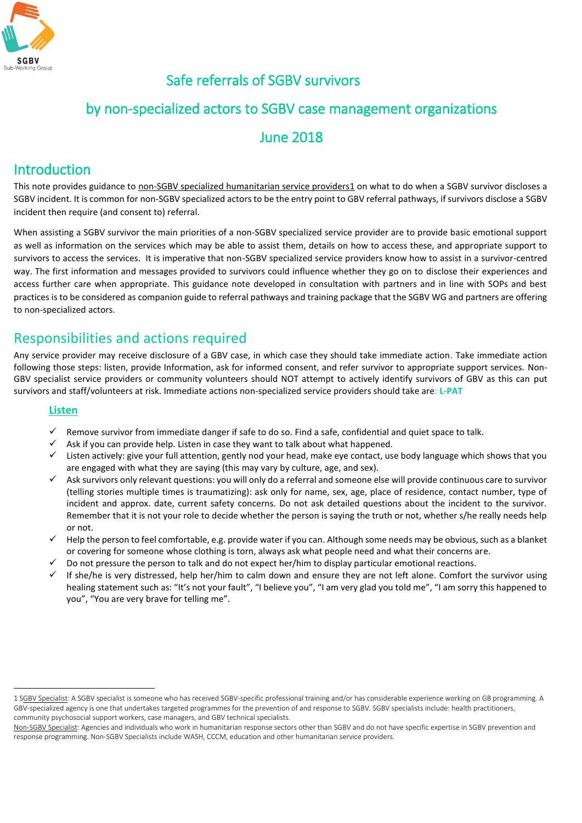

# Safe referrals of SGBV survivors

### by non-specialized actors to SGBV case management organizations

### June 2018

## Introduction

This note provides guidance to non-SGBV specialized humanitarian service providers1 on what to do when a SGBV survivor discloses a SGBV incident. It is common for non-SGBV specialized actors to be the entry point to GBV referral pathways, if survivors disclose a SGBV incident then require (and consent to) referral.

When assisting a SGBV survivor the main priorities of a non-SGBV specialized service provider are to provide basic emotional support as well as information on the services which may be able to assist them, details on how to access these, and appropriate support to survivors to access the services. It is imperative that non-SGBV specialized service providers know how to assist in a survivor-centred way. The first information and messages provided to survivors could influence whether they go on to disclose their experiences and access further care when appropriate. This guidance note developed in consultation with partners and in line with SOPs and best practices is to be considered as companion guide to referral pathways and training package that the SGBV WG and partners are offering to non-specialized actors.

## Responsibilities and actions required

Any service provider may receive disclosure of a GBV case, in which case they should take immediate action. Take immediate action following those steps: listen, provide Information, ask for informed consent, and refer survivor to appropriate support services. Non-GBV specialist service providers or community volunteers should NOT attempt to actively identify survivors of GBV as this can put survivors and staff/volunteers at risk. Immediate actions non-specialized service providers should take are: **L-PAT** 

#### **Listen**

 $\ddot{\phantom{a}}$ 

- Remove survivor from immediate danger if safe to do so. Find a safe, confidential and quiet space to talk.
- Ask if you can provide help. Listen in case they want to talk about what happened.
- Listen actively: give your full attention, gently nod your head, make eye contact, use body language which shows that you are engaged with what they are saying (this may vary by culture, age, and sex).
- $\checkmark$  Ask survivors only relevant questions: you will only do a referral and someone else will provide continuous care to survivor (telling stories multiple times is traumatizing): ask only for name, sex, age, place of residence, contact number, type of incident and approx. date, current safety concerns. Do not ask detailed questions about the incident to the survivor. Remember that it is not your role to decide whether the person is saying the truth or not, whether s/he really needs help or not.
- $\checkmark$  Help the person to feel comfortable, e.g. provide water if you can. Although some needs may be obvious, such as a blanket or covering for someone whose clothing is torn, always ask what people need and what their concerns are.
- Do not pressure the person to talk and do not expect her/him to display particular emotional reactions.
- $\checkmark$  If she/he is very distressed, help her/him to calm down and ensure they are not left alone. Comfort the survivor using healing statement such as: "It's not your fault", "I believe you", "I am very glad you told me", "I am sorry this happened to you", "You are very brave for telling me".

<sup>1</sup> SGBV Specialist: A SGBV specialist is someone who has received SGBV-specific professional training and/or has considerable experience working on GB programming. A GBV-specialized agency is one that undertakes targeted programmes for the prevention of and response to SGBV. SGBV specialists include: health practitioners, community psychosocial support workers, case managers, and GBV technical specialists.

Non-SGBV Specialist: Agencies and individuals who work in humanitarian response sectors other than SGBV and do not have specific expertise in SGBV prevention and response programming. Non-SGBV Specialists include WASH, CCCM, education and other humanitarian service providers.